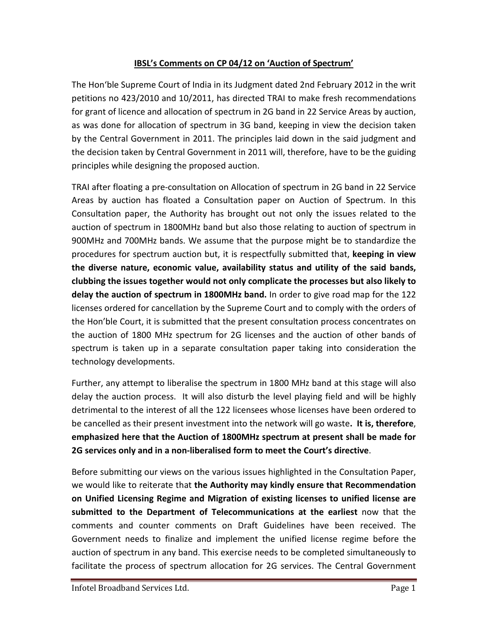#### **IBSL's Comments on CP 04/12 on 'Auction of Spectrum'**

The Hon'ble Supreme Court of India in its Judgment dated 2nd February 2012 in the writ petitions no 423/2010 and 10/2011, has directed TRAI to make fresh recommendations for grant of licence and allocation of spectrum in 2G band in 22 Service Areas by auction, as was done for allocation of spectrum in 3G band, keeping in view the decision taken by the Central Government in 2011. The principles laid down in the said judgment and the decision taken by Central Government in 2011 will, therefore, have to be the guiding principles while designing the proposed auction.

TRAI after floating a pre-consultation on Allocation of spectrum in 2G band in 22 Service Areas by auction has floated a Consultation paper on Auction of Spectrum. In this Consultation paper, the Authority has brought out not only the issues related to the auction of spectrum in 1800MHz band but also those relating to auction of spectrum in 900MHz and 700MHz bands. We assume that the purpose might be to standardize the procedures for spectrum auction but, it is respectfully submitted that, **keeping in view the diverse nature, economic value, availability status and utility of the said bands, clubbing the issues together would not only complicate the processes but also likely to delay the auction of spectrum in 1800MHz band.** In order to give road map for the 122 licenses ordered for cancellation by the Supreme Court and to comply with the orders of the Hon'ble Court, it is submitted that the present consultation process concentrates on the auction of 1800 MHz spectrum for 2G licenses and the auction of other bands of spectrum is taken up in a separate consultation paper taking into consideration the technology developments.

Further, any attempt to liberalise the spectrum in 1800 MHz band at this stage will also delay the auction process. It will also disturb the level playing field and will be highly detrimental to the interest of all the 122 licensees whose licenses have been ordered to be cancelled as their present investment into the network will go waste**. It is, therefore**, **emphasized here that the Auction of 1800MHz spectrum at present shall be made for 2G services only and in a non-liberalised form to meet the Court's directive**.

Before submitting our views on the various issues highlighted in the Consultation Paper, we would like to reiterate that **the Authority may kindly ensure that Recommendation on Unified Licensing Regime and Migration of existing licenses to unified license are submitted to the Department of Telecommunications at the earliest** now that the comments and counter comments on Draft Guidelines have been received. The Government needs to finalize and implement the unified license regime before the auction of spectrum in any band. This exercise needs to be completed simultaneously to facilitate the process of spectrum allocation for 2G services. The Central Government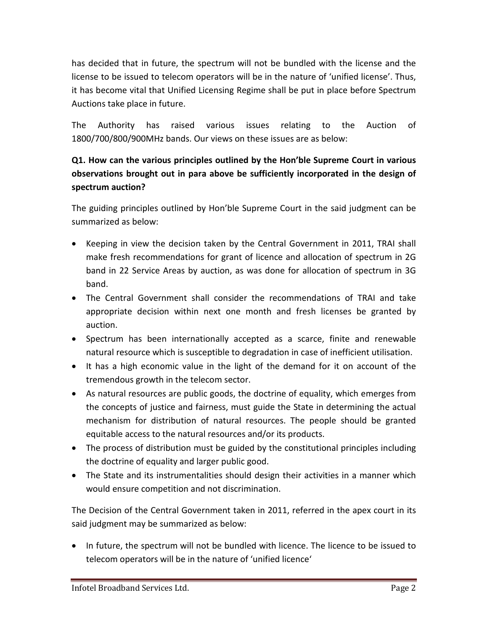has decided that in future, the spectrum will not be bundled with the license and the license to be issued to telecom operators will be in the nature of 'unified license'. Thus, it has become vital that Unified Licensing Regime shall be put in place before Spectrum Auctions take place in future.

The Authority has raised various issues relating to the Auction of 1800/700/800/900MHz bands. Our views on these issues are as below:

# **Q1. How can the various principles outlined by the Hon'ble Supreme Court in various observations brought out in para above be sufficiently incorporated in the design of spectrum auction?**

The guiding principles outlined by Hon'ble Supreme Court in the said judgment can be summarized as below:

- Keeping in view the decision taken by the Central Government in 2011, TRAI shall make fresh recommendations for grant of licence and allocation of spectrum in 2G band in 22 Service Areas by auction, as was done for allocation of spectrum in 3G band.
- The Central Government shall consider the recommendations of TRAI and take appropriate decision within next one month and fresh licenses be granted by auction.
- Spectrum has been internationally accepted as a scarce, finite and renewable natural resource which is susceptible to degradation in case of inefficient utilisation.
- It has a high economic value in the light of the demand for it on account of the tremendous growth in the telecom sector.
- As natural resources are public goods, the doctrine of equality, which emerges from the concepts of justice and fairness, must guide the State in determining the actual mechanism for distribution of natural resources. The people should be granted equitable access to the natural resources and/or its products.
- The process of distribution must be guided by the constitutional principles including the doctrine of equality and larger public good.
- The State and its instrumentalities should design their activities in a manner which would ensure competition and not discrimination.

The Decision of the Central Government taken in 2011, referred in the apex court in its said judgment may be summarized as below:

• In future, the spectrum will not be bundled with licence. The licence to be issued to telecom operators will be in the nature of 'unified licence'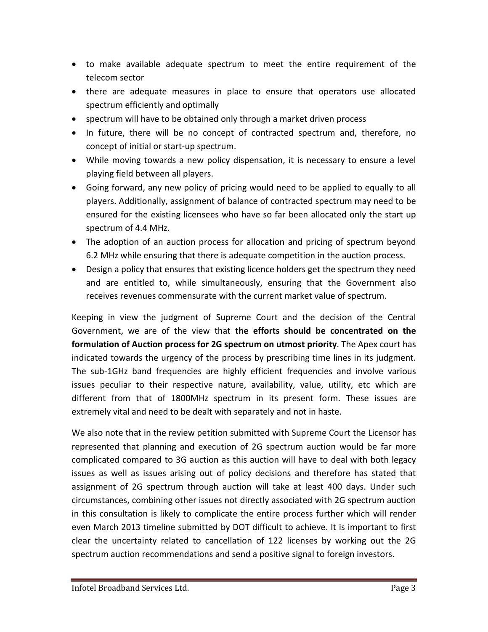- to make available adequate spectrum to meet the entire requirement of the telecom sector
- there are adequate measures in place to ensure that operators use allocated spectrum efficiently and optimally
- spectrum will have to be obtained only through a market driven process
- In future, there will be no concept of contracted spectrum and, therefore, no concept of initial or start-up spectrum.
- While moving towards a new policy dispensation, it is necessary to ensure a level playing field between all players.
- Going forward, any new policy of pricing would need to be applied to equally to all players. Additionally, assignment of balance of contracted spectrum may need to be ensured for the existing licensees who have so far been allocated only the start up spectrum of 4.4 MHz.
- The adoption of an auction process for allocation and pricing of spectrum beyond 6.2 MHz while ensuring that there is adequate competition in the auction process.
- Design a policy that ensures that existing licence holders get the spectrum they need and are entitled to, while simultaneously, ensuring that the Government also receives revenues commensurate with the current market value of spectrum.

Keeping in view the judgment of Supreme Court and the decision of the Central Government, we are of the view that **the efforts should be concentrated on the formulation of Auction process for 2G spectrum on utmost priority**. The Apex court has indicated towards the urgency of the process by prescribing time lines in its judgment. The sub-1GHz band frequencies are highly efficient frequencies and involve various issues peculiar to their respective nature, availability, value, utility, etc which are different from that of 1800MHz spectrum in its present form. These issues are extremely vital and need to be dealt with separately and not in haste.

We also note that in the review petition submitted with Supreme Court the Licensor has represented that planning and execution of 2G spectrum auction would be far more complicated compared to 3G auction as this auction will have to deal with both legacy issues as well as issues arising out of policy decisions and therefore has stated that assignment of 2G spectrum through auction will take at least 400 days. Under such circumstances, combining other issues not directly associated with 2G spectrum auction in this consultation is likely to complicate the entire process further which will render even March 2013 timeline submitted by DOT difficult to achieve. It is important to first clear the uncertainty related to cancellation of 122 licenses by working out the 2G spectrum auction recommendations and send a positive signal to foreign investors.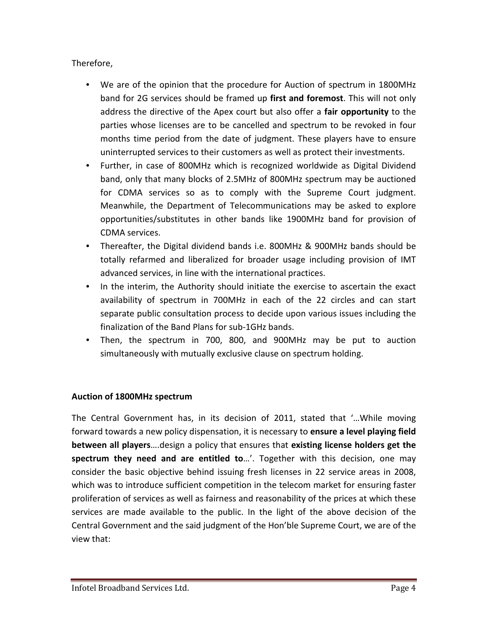Therefore,

- We are of the opinion that the procedure for Auction of spectrum in 1800MHz band for 2G services should be framed up **first and foremost**. This will not only address the directive of the Apex court but also offer a **fair opportunity** to the parties whose licenses are to be cancelled and spectrum to be revoked in four months time period from the date of judgment. These players have to ensure uninterrupted services to their customers as well as protect their investments.
- Further, in case of 800MHz which is recognized worldwide as Digital Dividend band, only that many blocks of 2.5MHz of 800MHz spectrum may be auctioned for CDMA services so as to comply with the Supreme Court judgment. Meanwhile, the Department of Telecommunications may be asked to explore opportunities/substitutes in other bands like 1900MHz band for provision of CDMA services.
- Thereafter, the Digital dividend bands i.e. 800MHz & 900MHz bands should be totally refarmed and liberalized for broader usage including provision of IMT advanced services, in line with the international practices.
- In the interim, the Authority should initiate the exercise to ascertain the exact availability of spectrum in 700MHz in each of the 22 circles and can start separate public consultation process to decide upon various issues including the finalization of the Band Plans for sub-1GHz bands.
- Then, the spectrum in 700, 800, and 900MHz may be put to auction simultaneously with mutually exclusive clause on spectrum holding.

### **Auction of 1800MHz spectrum**

The Central Government has, in its decision of 2011, stated that '…While moving forward towards a new policy dispensation, it is necessary to **ensure a level playing field between all players**….design a policy that ensures that **existing license holders get the spectrum they need and are entitled to**…'. Together with this decision, one may consider the basic objective behind issuing fresh licenses in 22 service areas in 2008, which was to introduce sufficient competition in the telecom market for ensuring faster proliferation of services as well as fairness and reasonability of the prices at which these services are made available to the public. In the light of the above decision of the Central Government and the said judgment of the Hon'ble Supreme Court, we are of the view that: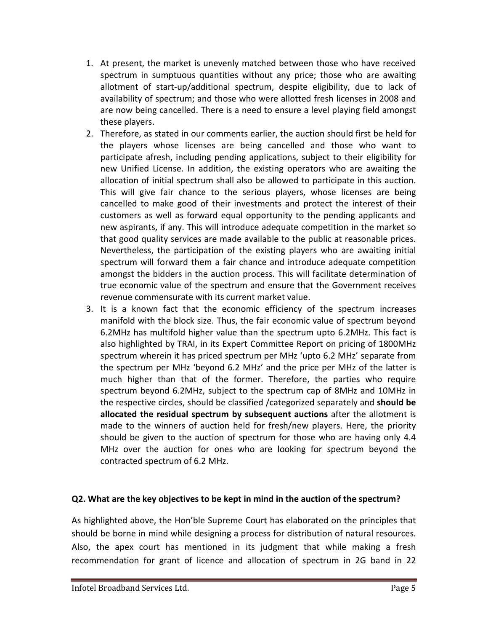- 1. At present, the market is unevenly matched between those who have received spectrum in sumptuous quantities without any price; those who are awaiting allotment of start-up/additional spectrum, despite eligibility, due to lack of availability of spectrum; and those who were allotted fresh licenses in 2008 and are now being cancelled. There is a need to ensure a level playing field amongst these players.
- 2. Therefore, as stated in our comments earlier, the auction should first be held for the players whose licenses are being cancelled and those who want to participate afresh, including pending applications, subject to their eligibility for new Unified License. In addition, the existing operators who are awaiting the allocation of initial spectrum shall also be allowed to participate in this auction. This will give fair chance to the serious players, whose licenses are being cancelled to make good of their investments and protect the interest of their customers as well as forward equal opportunity to the pending applicants and new aspirants, if any. This will introduce adequate competition in the market so that good quality services are made available to the public at reasonable prices. Nevertheless, the participation of the existing players who are awaiting initial spectrum will forward them a fair chance and introduce adequate competition amongst the bidders in the auction process. This will facilitate determination of true economic value of the spectrum and ensure that the Government receives revenue commensurate with its current market value.
- 3. It is a known fact that the economic efficiency of the spectrum increases manifold with the block size. Thus, the fair economic value of spectrum beyond 6.2MHz has multifold higher value than the spectrum upto 6.2MHz. This fact is also highlighted by TRAI, in its Expert Committee Report on pricing of 1800MHz spectrum wherein it has priced spectrum per MHz 'upto 6.2 MHz' separate from the spectrum per MHz 'beyond 6.2 MHz' and the price per MHz of the latter is much higher than that of the former. Therefore, the parties who require spectrum beyond 6.2MHz, subject to the spectrum cap of 8MHz and 10MHz in the respective circles, should be classified /categorized separately and **should be allocated the residual spectrum by subsequent auctions** after the allotment is made to the winners of auction held for fresh/new players. Here, the priority should be given to the auction of spectrum for those who are having only 4.4 MHz over the auction for ones who are looking for spectrum beyond the contracted spectrum of 6.2 MHz.

#### **Q2. What are the key objectives to be kept in mind in the auction of the spectrum?**

As highlighted above, the Hon'ble Supreme Court has elaborated on the principles that should be borne in mind while designing a process for distribution of natural resources. Also, the apex court has mentioned in its judgment that while making a fresh recommendation for grant of licence and allocation of spectrum in 2G band in 22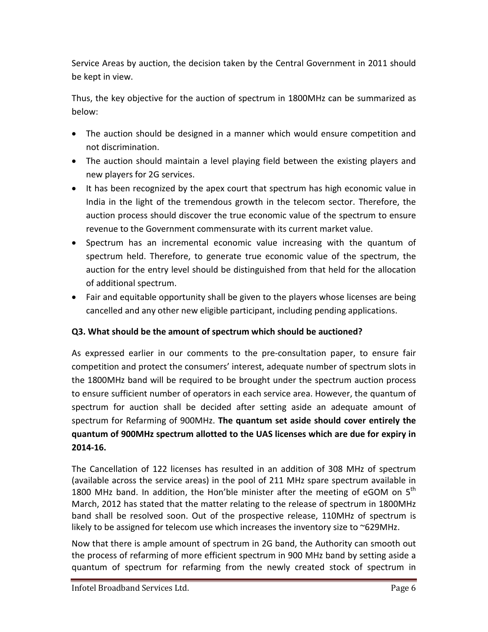Service Areas by auction, the decision taken by the Central Government in 2011 should be kept in view.

Thus, the key objective for the auction of spectrum in 1800MHz can be summarized as below:

- The auction should be designed in a manner which would ensure competition and not discrimination.
- The auction should maintain a level playing field between the existing players and new players for 2G services.
- It has been recognized by the apex court that spectrum has high economic value in India in the light of the tremendous growth in the telecom sector. Therefore, the auction process should discover the true economic value of the spectrum to ensure revenue to the Government commensurate with its current market value.
- Spectrum has an incremental economic value increasing with the quantum of spectrum held. Therefore, to generate true economic value of the spectrum, the auction for the entry level should be distinguished from that held for the allocation of additional spectrum.
- Fair and equitable opportunity shall be given to the players whose licenses are being cancelled and any other new eligible participant, including pending applications.

### **Q3. What should be the amount of spectrum which should be auctioned?**

As expressed earlier in our comments to the pre-consultation paper, to ensure fair competition and protect the consumers' interest, adequate number of spectrum slots in the 1800MHz band will be required to be brought under the spectrum auction process to ensure sufficient number of operators in each service area. However, the quantum of spectrum for auction shall be decided after setting aside an adequate amount of spectrum for Refarming of 900MHz. **The quantum set aside should cover entirely the quantum of 900MHz spectrum allotted to the UAS licenses which are due for expiry in 2014-16.** 

The Cancellation of 122 licenses has resulted in an addition of 308 MHz of spectrum (available across the service areas) in the pool of 211 MHz spare spectrum available in 1800 MHz band. In addition, the Hon'ble minister after the meeting of eGOM on  $5<sup>th</sup>$ March, 2012 has stated that the matter relating to the release of spectrum in 1800MHz band shall be resolved soon. Out of the prospective release, 110MHz of spectrum is likely to be assigned for telecom use which increases the inventory size to  $\sim$ 629MHz.

Now that there is ample amount of spectrum in 2G band, the Authority can smooth out the process of refarming of more efficient spectrum in 900 MHz band by setting aside a quantum of spectrum for refarming from the newly created stock of spectrum in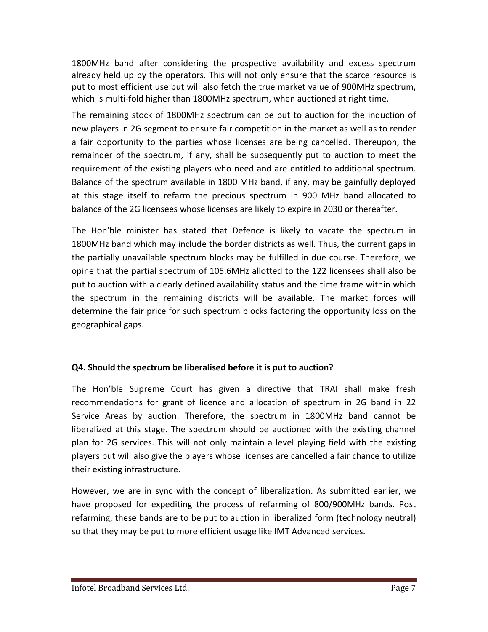1800MHz band after considering the prospective availability and excess spectrum already held up by the operators. This will not only ensure that the scarce resource is put to most efficient use but will also fetch the true market value of 900MHz spectrum, which is multi-fold higher than 1800MHz spectrum, when auctioned at right time.

The remaining stock of 1800MHz spectrum can be put to auction for the induction of new players in 2G segment to ensure fair competition in the market as well as to render a fair opportunity to the parties whose licenses are being cancelled. Thereupon, the remainder of the spectrum, if any, shall be subsequently put to auction to meet the requirement of the existing players who need and are entitled to additional spectrum. Balance of the spectrum available in 1800 MHz band, if any, may be gainfully deployed at this stage itself to refarm the precious spectrum in 900 MHz band allocated to balance of the 2G licensees whose licenses are likely to expire in 2030 or thereafter.

The Hon'ble minister has stated that Defence is likely to vacate the spectrum in 1800MHz band which may include the border districts as well. Thus, the current gaps in the partially unavailable spectrum blocks may be fulfilled in due course. Therefore, we opine that the partial spectrum of 105.6MHz allotted to the 122 licensees shall also be put to auction with a clearly defined availability status and the time frame within which the spectrum in the remaining districts will be available. The market forces will determine the fair price for such spectrum blocks factoring the opportunity loss on the geographical gaps.

### **Q4. Should the spectrum be liberalised before it is put to auction?**

The Hon'ble Supreme Court has given a directive that TRAI shall make fresh recommendations for grant of licence and allocation of spectrum in 2G band in 22 Service Areas by auction. Therefore, the spectrum in 1800MHz band cannot be liberalized at this stage. The spectrum should be auctioned with the existing channel plan for 2G services. This will not only maintain a level playing field with the existing players but will also give the players whose licenses are cancelled a fair chance to utilize their existing infrastructure.

However, we are in sync with the concept of liberalization. As submitted earlier, we have proposed for expediting the process of refarming of 800/900MHz bands. Post refarming, these bands are to be put to auction in liberalized form (technology neutral) so that they may be put to more efficient usage like IMT Advanced services.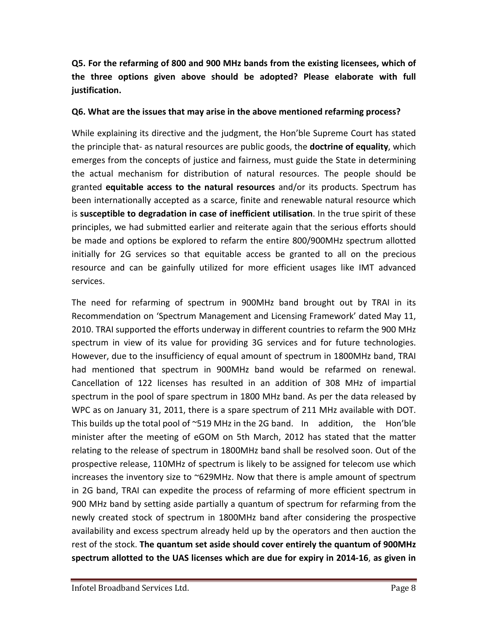**Q5. For the refarming of 800 and 900 MHz bands from the existing licensees, which of the three options given above should be adopted? Please elaborate with full justification.**

#### **Q6. What are the issues that may arise in the above mentioned refarming process?**

While explaining its directive and the judgment, the Hon'ble Supreme Court has stated the principle that- as natural resources are public goods, the **doctrine of equality**, which emerges from the concepts of justice and fairness, must guide the State in determining the actual mechanism for distribution of natural resources. The people should be granted **equitable access to the natural resources** and/or its products. Spectrum has been internationally accepted as a scarce, finite and renewable natural resource which is **susceptible to degradation in case of inefficient utilisation**. In the true spirit of these principles, we had submitted earlier and reiterate again that the serious efforts should be made and options be explored to refarm the entire 800/900MHz spectrum allotted initially for 2G services so that equitable access be granted to all on the precious resource and can be gainfully utilized for more efficient usages like IMT advanced services.

The need for refarming of spectrum in 900MHz band brought out by TRAI in its Recommendation on 'Spectrum Management and Licensing Framework' dated May 11, 2010. TRAI supported the efforts underway in different countries to refarm the 900 MHz spectrum in view of its value for providing 3G services and for future technologies. However, due to the insufficiency of equal amount of spectrum in 1800MHz band, TRAI had mentioned that spectrum in 900MHz band would be refarmed on renewal. Cancellation of 122 licenses has resulted in an addition of 308 MHz of impartial spectrum in the pool of spare spectrum in 1800 MHz band. As per the data released by WPC as on January 31, 2011, there is a spare spectrum of 211 MHz available with DOT. This builds up the total pool of ~519 MHz in the 2G band. In addition, the Hon'ble minister after the meeting of eGOM on 5th March, 2012 has stated that the matter relating to the release of spectrum in 1800MHz band shall be resolved soon. Out of the prospective release, 110MHz of spectrum is likely to be assigned for telecom use which increases the inventory size to ~629MHz. Now that there is ample amount of spectrum in 2G band, TRAI can expedite the process of refarming of more efficient spectrum in 900 MHz band by setting aside partially a quantum of spectrum for refarming from the newly created stock of spectrum in 1800MHz band after considering the prospective availability and excess spectrum already held up by the operators and then auction the rest of the stock. **The quantum set aside should cover entirely the quantum of 900MHz spectrum allotted to the UAS licenses which are due for expiry in 2014-16**, **as given in**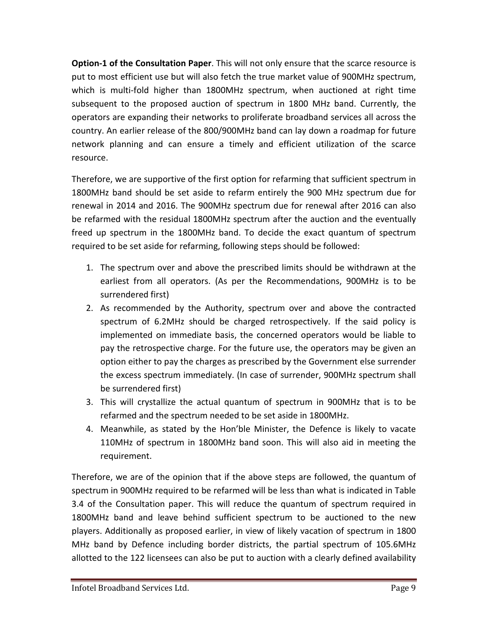**Option-1 of the Consultation Paper**. This will not only ensure that the scarce resource is put to most efficient use but will also fetch the true market value of 900MHz spectrum, which is multi-fold higher than 1800MHz spectrum, when auctioned at right time subsequent to the proposed auction of spectrum in 1800 MHz band. Currently, the operators are expanding their networks to proliferate broadband services all across the country. An earlier release of the 800/900MHz band can lay down a roadmap for future network planning and can ensure a timely and efficient utilization of the scarce resource.

Therefore, we are supportive of the first option for refarming that sufficient spectrum in 1800MHz band should be set aside to refarm entirely the 900 MHz spectrum due for renewal in 2014 and 2016. The 900MHz spectrum due for renewal after 2016 can also be refarmed with the residual 1800MHz spectrum after the auction and the eventually freed up spectrum in the 1800MHz band. To decide the exact quantum of spectrum required to be set aside for refarming, following steps should be followed:

- 1. The spectrum over and above the prescribed limits should be withdrawn at the earliest from all operators. (As per the Recommendations, 900MHz is to be surrendered first)
- 2. As recommended by the Authority, spectrum over and above the contracted spectrum of 6.2MHz should be charged retrospectively. If the said policy is implemented on immediate basis, the concerned operators would be liable to pay the retrospective charge. For the future use, the operators may be given an option either to pay the charges as prescribed by the Government else surrender the excess spectrum immediately. (In case of surrender, 900MHz spectrum shall be surrendered first)
- 3. This will crystallize the actual quantum of spectrum in 900MHz that is to be refarmed and the spectrum needed to be set aside in 1800MHz.
- 4. Meanwhile, as stated by the Hon'ble Minister, the Defence is likely to vacate 110MHz of spectrum in 1800MHz band soon. This will also aid in meeting the requirement.

Therefore, we are of the opinion that if the above steps are followed, the quantum of spectrum in 900MHz required to be refarmed will be less than what is indicated in Table 3.4 of the Consultation paper. This will reduce the quantum of spectrum required in 1800MHz band and leave behind sufficient spectrum to be auctioned to the new players. Additionally as proposed earlier, in view of likely vacation of spectrum in 1800 MHz band by Defence including border districts, the partial spectrum of 105.6MHz allotted to the 122 licensees can also be put to auction with a clearly defined availability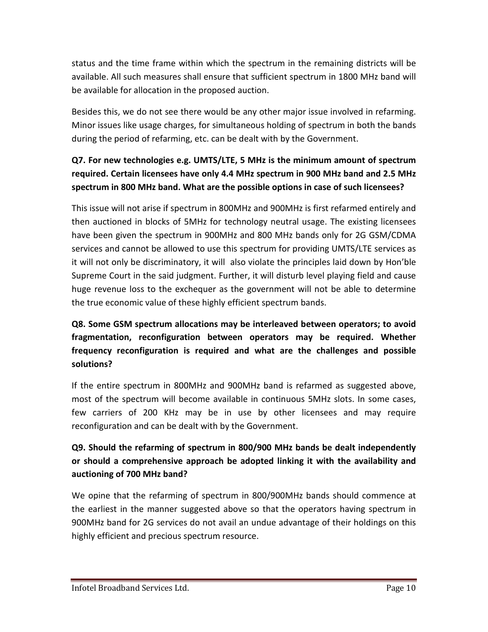status and the time frame within which the spectrum in the remaining districts will be available. All such measures shall ensure that sufficient spectrum in 1800 MHz band will be available for allocation in the proposed auction.

Besides this, we do not see there would be any other major issue involved in refarming. Minor issues like usage charges, for simultaneous holding of spectrum in both the bands during the period of refarming, etc. can be dealt with by the Government.

# **Q7. For new technologies e.g. UMTS/LTE, 5 MHz is the minimum amount of spectrum required. Certain licensees have only 4.4 MHz spectrum in 900 MHz band and 2.5 MHz spectrum in 800 MHz band. What are the possible options in case of such licensees?**

This issue will not arise if spectrum in 800MHz and 900MHz is first refarmed entirely and then auctioned in blocks of 5MHz for technology neutral usage. The existing licensees have been given the spectrum in 900MHz and 800 MHz bands only for 2G GSM/CDMA services and cannot be allowed to use this spectrum for providing UMTS/LTE services as it will not only be discriminatory, it will also violate the principles laid down by Hon'ble Supreme Court in the said judgment. Further, it will disturb level playing field and cause huge revenue loss to the exchequer as the government will not be able to determine the true economic value of these highly efficient spectrum bands.

# **Q8. Some GSM spectrum allocations may be interleaved between operators; to avoid fragmentation, reconfiguration between operators may be required. Whether frequency reconfiguration is required and what are the challenges and possible solutions?**

If the entire spectrum in 800MHz and 900MHz band is refarmed as suggested above, most of the spectrum will become available in continuous 5MHz slots. In some cases, few carriers of 200 KHz may be in use by other licensees and may require reconfiguration and can be dealt with by the Government.

# **Q9. Should the refarming of spectrum in 800/900 MHz bands be dealt independently or should a comprehensive approach be adopted linking it with the availability and auctioning of 700 MHz band?**

We opine that the refarming of spectrum in 800/900MHz bands should commence at the earliest in the manner suggested above so that the operators having spectrum in 900MHz band for 2G services do not avail an undue advantage of their holdings on this highly efficient and precious spectrum resource.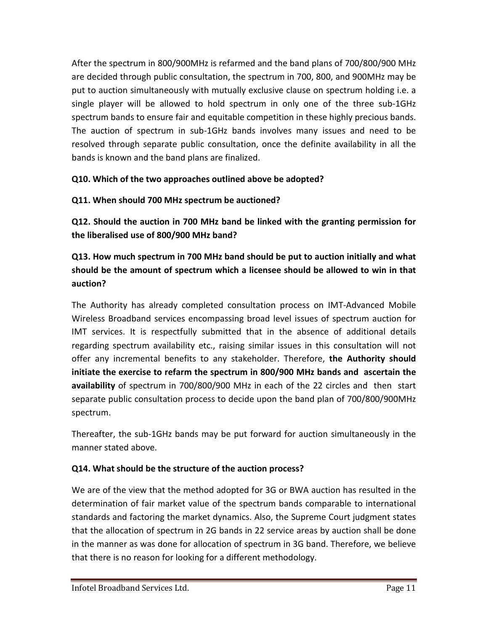After the spectrum in 800/900MHz is refarmed and the band plans of 700/800/900 MHz are decided through public consultation, the spectrum in 700, 800, and 900MHz may be put to auction simultaneously with mutually exclusive clause on spectrum holding i.e. a single player will be allowed to hold spectrum in only one of the three sub-1GHz spectrum bands to ensure fair and equitable competition in these highly precious bands. The auction of spectrum in sub-1GHz bands involves many issues and need to be resolved through separate public consultation, once the definite availability in all the bands is known and the band plans are finalized.

## **Q10. Which of the two approaches outlined above be adopted?**

## **Q11. When should 700 MHz spectrum be auctioned?**

**Q12. Should the auction in 700 MHz band be linked with the granting permission for the liberalised use of 800/900 MHz band?**

# **Q13. How much spectrum in 700 MHz band should be put to auction initially and what should be the amount of spectrum which a licensee should be allowed to win in that auction?**

The Authority has already completed consultation process on IMT-Advanced Mobile Wireless Broadband services encompassing broad level issues of spectrum auction for IMT services. It is respectfully submitted that in the absence of additional details regarding spectrum availability etc., raising similar issues in this consultation will not offer any incremental benefits to any stakeholder. Therefore, **the Authority should initiate the exercise to refarm the spectrum in 800/900 MHz bands and ascertain the availability** of spectrum in 700/800/900 MHz in each of the 22 circles and then start separate public consultation process to decide upon the band plan of 700/800/900MHz spectrum.

Thereafter, the sub-1GHz bands may be put forward for auction simultaneously in the manner stated above.

### **Q14. What should be the structure of the auction process?**

We are of the view that the method adopted for 3G or BWA auction has resulted in the determination of fair market value of the spectrum bands comparable to international standards and factoring the market dynamics. Also, the Supreme Court judgment states that the allocation of spectrum in 2G bands in 22 service areas by auction shall be done in the manner as was done for allocation of spectrum in 3G band. Therefore, we believe that there is no reason for looking for a different methodology.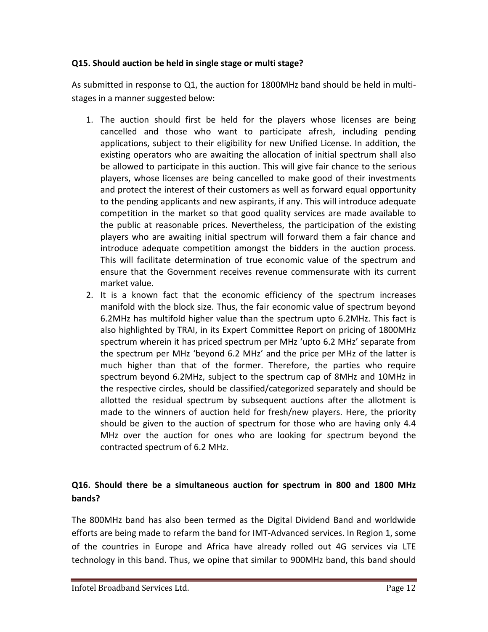#### **Q15. Should auction be held in single stage or multi stage?**

As submitted in response to Q1, the auction for 1800MHz band should be held in multistages in a manner suggested below:

- 1. The auction should first be held for the players whose licenses are being cancelled and those who want to participate afresh, including pending applications, subject to their eligibility for new Unified License. In addition, the existing operators who are awaiting the allocation of initial spectrum shall also be allowed to participate in this auction. This will give fair chance to the serious players, whose licenses are being cancelled to make good of their investments and protect the interest of their customers as well as forward equal opportunity to the pending applicants and new aspirants, if any. This will introduce adequate competition in the market so that good quality services are made available to the public at reasonable prices. Nevertheless, the participation of the existing players who are awaiting initial spectrum will forward them a fair chance and introduce adequate competition amongst the bidders in the auction process. This will facilitate determination of true economic value of the spectrum and ensure that the Government receives revenue commensurate with its current market value.
- 2. It is a known fact that the economic efficiency of the spectrum increases manifold with the block size. Thus, the fair economic value of spectrum beyond 6.2MHz has multifold higher value than the spectrum upto 6.2MHz. This fact is also highlighted by TRAI, in its Expert Committee Report on pricing of 1800MHz spectrum wherein it has priced spectrum per MHz 'upto 6.2 MHz' separate from the spectrum per MHz 'beyond 6.2 MHz' and the price per MHz of the latter is much higher than that of the former. Therefore, the parties who require spectrum beyond 6.2MHz, subject to the spectrum cap of 8MHz and 10MHz in the respective circles, should be classified/categorized separately and should be allotted the residual spectrum by subsequent auctions after the allotment is made to the winners of auction held for fresh/new players. Here, the priority should be given to the auction of spectrum for those who are having only 4.4 MHz over the auction for ones who are looking for spectrum beyond the contracted spectrum of 6.2 MHz.

# **Q16. Should there be a simultaneous auction for spectrum in 800 and 1800 MHz bands?**

The 800MHz band has also been termed as the Digital Dividend Band and worldwide efforts are being made to refarm the band for IMT-Advanced services. In Region 1, some of the countries in Europe and Africa have already rolled out 4G services via LTE technology in this band. Thus, we opine that similar to 900MHz band, this band should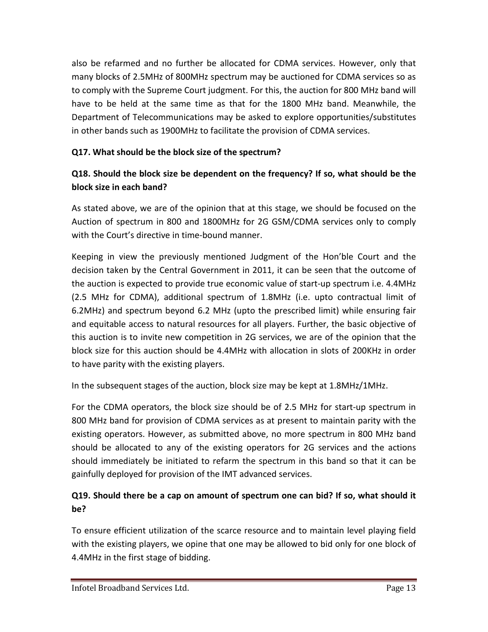also be refarmed and no further be allocated for CDMA services. However, only that many blocks of 2.5MHz of 800MHz spectrum may be auctioned for CDMA services so as to comply with the Supreme Court judgment. For this, the auction for 800 MHz band will have to be held at the same time as that for the 1800 MHz band. Meanwhile, the Department of Telecommunications may be asked to explore opportunities/substitutes in other bands such as 1900MHz to facilitate the provision of CDMA services.

## **Q17. What should be the block size of the spectrum?**

# **Q18. Should the block size be dependent on the frequency? If so, what should be the block size in each band?**

As stated above, we are of the opinion that at this stage, we should be focused on the Auction of spectrum in 800 and 1800MHz for 2G GSM/CDMA services only to comply with the Court's directive in time-bound manner.

Keeping in view the previously mentioned Judgment of the Hon'ble Court and the decision taken by the Central Government in 2011, it can be seen that the outcome of the auction is expected to provide true economic value of start-up spectrum i.e. 4.4MHz (2.5 MHz for CDMA), additional spectrum of 1.8MHz (i.e. upto contractual limit of 6.2MHz) and spectrum beyond 6.2 MHz (upto the prescribed limit) while ensuring fair and equitable access to natural resources for all players. Further, the basic objective of this auction is to invite new competition in 2G services, we are of the opinion that the block size for this auction should be 4.4MHz with allocation in slots of 200KHz in order to have parity with the existing players.

In the subsequent stages of the auction, block size may be kept at 1.8MHz/1MHz.

For the CDMA operators, the block size should be of 2.5 MHz for start-up spectrum in 800 MHz band for provision of CDMA services as at present to maintain parity with the existing operators. However, as submitted above, no more spectrum in 800 MHz band should be allocated to any of the existing operators for 2G services and the actions should immediately be initiated to refarm the spectrum in this band so that it can be gainfully deployed for provision of the IMT advanced services.

# **Q19. Should there be a cap on amount of spectrum one can bid? If so, what should it be?**

To ensure efficient utilization of the scarce resource and to maintain level playing field with the existing players, we opine that one may be allowed to bid only for one block of 4.4MHz in the first stage of bidding.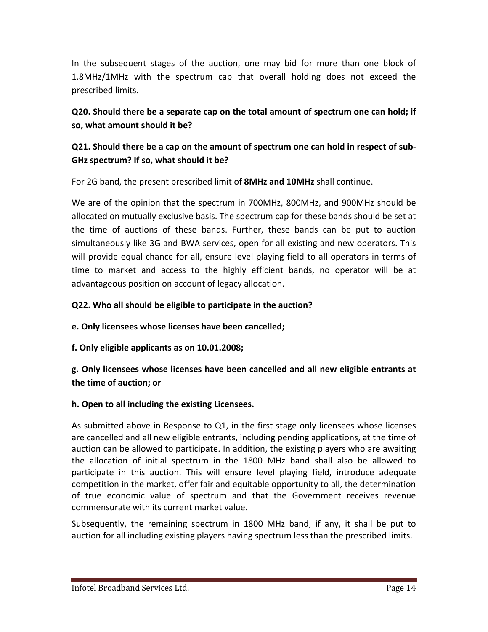In the subsequent stages of the auction, one may bid for more than one block of 1.8MHz/1MHz with the spectrum cap that overall holding does not exceed the prescribed limits.

**Q20. Should there be a separate cap on the total amount of spectrum one can hold; if so, what amount should it be?**

## **Q21. Should there be a cap on the amount of spectrum one can hold in respect of sub-GHz spectrum? If so, what should it be?**

For 2G band, the present prescribed limit of **8MHz and 10MHz** shall continue.

We are of the opinion that the spectrum in 700MHz, 800MHz, and 900MHz should be allocated on mutually exclusive basis. The spectrum cap for these bands should be set at the time of auctions of these bands. Further, these bands can be put to auction simultaneously like 3G and BWA services, open for all existing and new operators. This will provide equal chance for all, ensure level playing field to all operators in terms of time to market and access to the highly efficient bands, no operator will be at advantageous position on account of legacy allocation.

### **Q22. Who all should be eligible to participate in the auction?**

**e. Only licensees whose licenses have been cancelled;**

**f. Only eligible applicants as on 10.01.2008;**

## **g. Only licensees whose licenses have been cancelled and all new eligible entrants at the time of auction; or**

### **h. Open to all including the existing Licensees.**

As submitted above in Response to Q1, in the first stage only licensees whose licenses are cancelled and all new eligible entrants, including pending applications, at the time of auction can be allowed to participate. In addition, the existing players who are awaiting the allocation of initial spectrum in the 1800 MHz band shall also be allowed to participate in this auction. This will ensure level playing field, introduce adequate competition in the market, offer fair and equitable opportunity to all, the determination of true economic value of spectrum and that the Government receives revenue commensurate with its current market value.

Subsequently, the remaining spectrum in 1800 MHz band, if any, it shall be put to auction for all including existing players having spectrum less than the prescribed limits.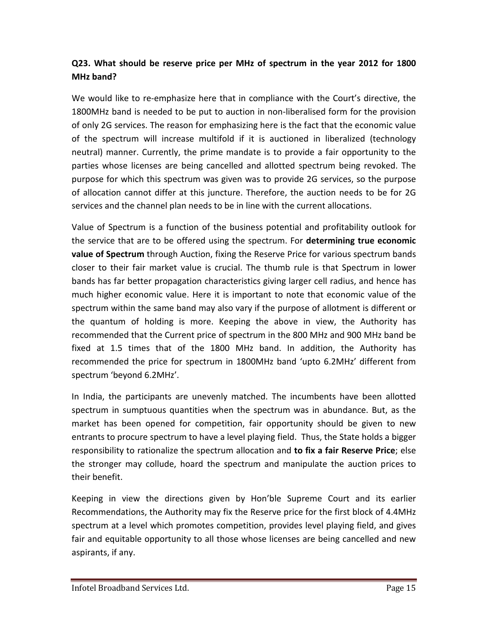## **Q23. What should be reserve price per MHz of spectrum in the year 2012 for 1800 MHz band?**

We would like to re-emphasize here that in compliance with the Court's directive, the 1800MHz band is needed to be put to auction in non-liberalised form for the provision of only 2G services. The reason for emphasizing here is the fact that the economic value of the spectrum will increase multifold if it is auctioned in liberalized (technology neutral) manner. Currently, the prime mandate is to provide a fair opportunity to the parties whose licenses are being cancelled and allotted spectrum being revoked. The purpose for which this spectrum was given was to provide 2G services, so the purpose of allocation cannot differ at this juncture. Therefore, the auction needs to be for 2G services and the channel plan needs to be in line with the current allocations.

Value of Spectrum is a function of the business potential and profitability outlook for the service that are to be offered using the spectrum. For **determining true economic value of Spectrum** through Auction, fixing the Reserve Price for various spectrum bands closer to their fair market value is crucial. The thumb rule is that Spectrum in lower bands has far better propagation characteristics giving larger cell radius, and hence has much higher economic value. Here it is important to note that economic value of the spectrum within the same band may also vary if the purpose of allotment is different or the quantum of holding is more. Keeping the above in view, the Authority has recommended that the Current price of spectrum in the 800 MHz and 900 MHz band be fixed at 1.5 times that of the 1800 MHz band. In addition, the Authority has recommended the price for spectrum in 1800MHz band 'upto 6.2MHz' different from spectrum 'beyond 6.2MHz'.

In India, the participants are unevenly matched. The incumbents have been allotted spectrum in sumptuous quantities when the spectrum was in abundance. But, as the market has been opened for competition, fair opportunity should be given to new entrants to procure spectrum to have a level playing field. Thus, the State holds a bigger responsibility to rationalize the spectrum allocation and **to fix a fair Reserve Price**; else the stronger may collude, hoard the spectrum and manipulate the auction prices to their benefit.

Keeping in view the directions given by Hon'ble Supreme Court and its earlier Recommendations, the Authority may fix the Reserve price for the first block of 4.4MHz spectrum at a level which promotes competition, provides level playing field, and gives fair and equitable opportunity to all those whose licenses are being cancelled and new aspirants, if any.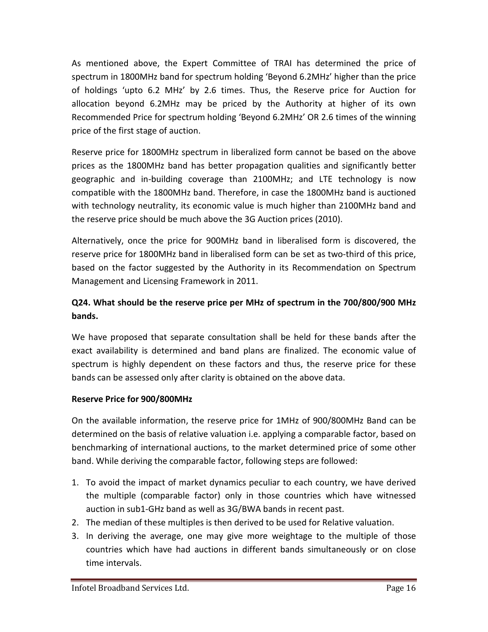As mentioned above, the Expert Committee of TRAI has determined the price of spectrum in 1800MHz band for spectrum holding 'Beyond 6.2MHz' higher than the price of holdings 'upto 6.2 MHz' by 2.6 times. Thus, the Reserve price for Auction for allocation beyond 6.2MHz may be priced by the Authority at higher of its own Recommended Price for spectrum holding 'Beyond 6.2MHz' OR 2.6 times of the winning price of the first stage of auction.

Reserve price for 1800MHz spectrum in liberalized form cannot be based on the above prices as the 1800MHz band has better propagation qualities and significantly better geographic and in-building coverage than 2100MHz; and LTE technology is now compatible with the 1800MHz band. Therefore, in case the 1800MHz band is auctioned with technology neutrality, its economic value is much higher than 2100MHz band and the reserve price should be much above the 3G Auction prices (2010).

Alternatively, once the price for 900MHz band in liberalised form is discovered, the reserve price for 1800MHz band in liberalised form can be set as two-third of this price, based on the factor suggested by the Authority in its Recommendation on Spectrum Management and Licensing Framework in 2011.

# **Q24. What should be the reserve price per MHz of spectrum in the 700/800/900 MHz bands.**

We have proposed that separate consultation shall be held for these bands after the exact availability is determined and band plans are finalized. The economic value of spectrum is highly dependent on these factors and thus, the reserve price for these bands can be assessed only after clarity is obtained on the above data.

### **Reserve Price for 900/800MHz**

On the available information, the reserve price for 1MHz of 900/800MHz Band can be determined on the basis of relative valuation i.e. applying a comparable factor, based on benchmarking of international auctions, to the market determined price of some other band. While deriving the comparable factor, following steps are followed:

- 1. To avoid the impact of market dynamics peculiar to each country, we have derived the multiple (comparable factor) only in those countries which have witnessed auction in sub1-GHz band as well as 3G/BWA bands in recent past.
- 2. The median of these multiples is then derived to be used for Relative valuation.
- 3. In deriving the average, one may give more weightage to the multiple of those countries which have had auctions in different bands simultaneously or on close time intervals.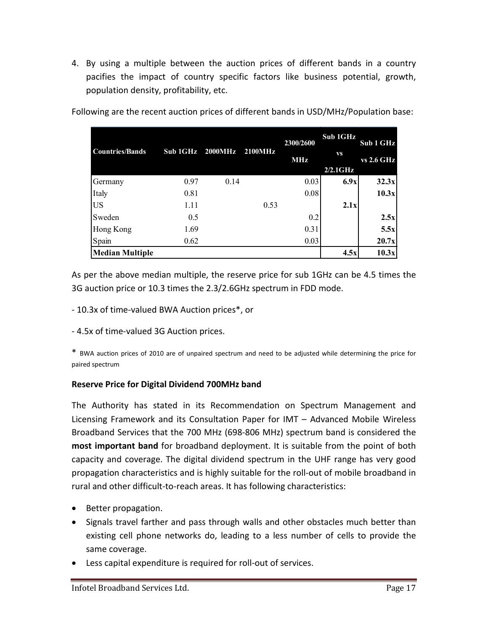4. By using a multiple between the auction prices of different bands in a country pacifies the impact of country specific factors like business potential, growth, population density, profitability, etc.

| <b>Countries/Bands</b> | Sub 1GHz 2000MHz |      | <b>2100MHz</b> | 2300/2600<br><b>MHz</b> | Sub 1GHz<br><b>VS</b><br>$2/2.1$ GHz | Sub 1 GHz<br><b>vs 2.6 GHz</b> |
|------------------------|------------------|------|----------------|-------------------------|--------------------------------------|--------------------------------|
| Germany                | 0.97             | 0.14 |                | 0.03                    | 6.9x                                 | 32.3x                          |
| Italy                  | 0.81             |      |                | 0.08                    |                                      | 10.3x                          |
| <b>US</b>              | 1.11             |      | 0.53           |                         | 2.1x                                 |                                |
| Sweden                 | 0.5              |      |                | 0.2                     |                                      | 2.5x                           |
| Hong Kong              | 1.69             |      |                | 0.31                    |                                      | 5.5x                           |
| Spain                  | 0.62             |      |                | 0.03                    |                                      | 20.7x                          |
| <b>Median Multiple</b> |                  |      |                |                         | 4.5x                                 | 10.3x                          |

Following are the recent auction prices of different bands in USD/MHz/Population base:

As per the above median multiple, the reserve price for sub 1GHz can be 4.5 times the 3G auction price or 10.3 times the 2.3/2.6GHz spectrum in FDD mode.

- 10.3x of time-valued BWA Auction prices\*, or
- 4.5x of time-valued 3G Auction prices.

\* BWA auction prices of 2010 are of unpaired spectrum and need to be adjusted while determining the price for paired spectrum

#### **Reserve Price for Digital Dividend 700MHz band**

The Authority has stated in its Recommendation on Spectrum Management and Licensing Framework and its Consultation Paper for IMT – Advanced Mobile Wireless Broadband Services that the 700 MHz (698-806 MHz) spectrum band is considered the **most important band** for broadband deployment. It is suitable from the point of both capacity and coverage. The digital dividend spectrum in the UHF range has very good propagation characteristics and is highly suitable for the roll-out of mobile broadband in rural and other difficult-to-reach areas. It has following characteristics:

- Better propagation.
- Signals travel farther and pass through walls and other obstacles much better than existing cell phone networks do, leading to a less number of cells to provide the same coverage.
- Less capital expenditure is required for roll-out of services.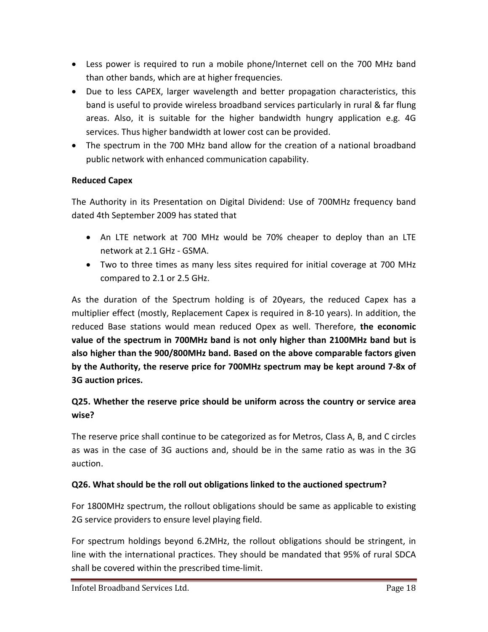- Less power is required to run a mobile phone/Internet cell on the 700 MHz band than other bands, which are at higher frequencies.
- Due to less CAPEX, larger wavelength and better propagation characteristics, this band is useful to provide wireless broadband services particularly in rural & far flung areas. Also, it is suitable for the higher bandwidth hungry application e.g. 4G services. Thus higher bandwidth at lower cost can be provided.
- The spectrum in the 700 MHz band allow for the creation of a national broadband public network with enhanced communication capability.

### **Reduced Capex**

The Authority in its Presentation on Digital Dividend: Use of 700MHz frequency band dated 4th September 2009 has stated that

- An LTE network at 700 MHz would be 70% cheaper to deploy than an LTE network at 2.1 GHz - GSMA.
- Two to three times as many less sites required for initial coverage at 700 MHz compared to 2.1 or 2.5 GHz.

As the duration of the Spectrum holding is of 20years, the reduced Capex has a multiplier effect (mostly, Replacement Capex is required in 8-10 years). In addition, the reduced Base stations would mean reduced Opex as well. Therefore, **the economic value of the spectrum in 700MHz band is not only higher than 2100MHz band but is also higher than the 900/800MHz band. Based on the above comparable factors given by the Authority, the reserve price for 700MHz spectrum may be kept around 7-8x of 3G auction prices.**

## **Q25. Whether the reserve price should be uniform across the country or service area wise?**

The reserve price shall continue to be categorized as for Metros, Class A, B, and C circles as was in the case of 3G auctions and, should be in the same ratio as was in the 3G auction.

### **Q26. What should be the roll out obligations linked to the auctioned spectrum?**

For 1800MHz spectrum, the rollout obligations should be same as applicable to existing 2G service providers to ensure level playing field.

For spectrum holdings beyond 6.2MHz, the rollout obligations should be stringent, in line with the international practices. They should be mandated that 95% of rural SDCA shall be covered within the prescribed time-limit.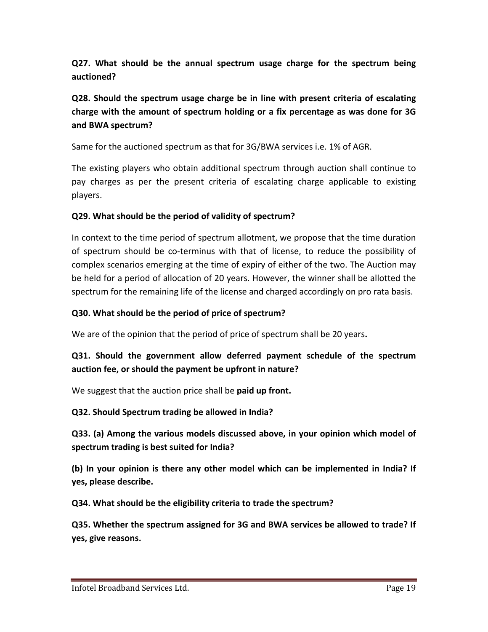**Q27. What should be the annual spectrum usage charge for the spectrum being auctioned?**

## **Q28. Should the spectrum usage charge be in line with present criteria of escalating charge with the amount of spectrum holding or a fix percentage as was done for 3G and BWA spectrum?**

Same for the auctioned spectrum as that for 3G/BWA services i.e. 1% of AGR.

The existing players who obtain additional spectrum through auction shall continue to pay charges as per the present criteria of escalating charge applicable to existing players.

#### **Q29. What should be the period of validity of spectrum?**

In context to the time period of spectrum allotment, we propose that the time duration of spectrum should be co-terminus with that of license, to reduce the possibility of complex scenarios emerging at the time of expiry of either of the two. The Auction may be held for a period of allocation of 20 years. However, the winner shall be allotted the spectrum for the remaining life of the license and charged accordingly on pro rata basis.

#### **Q30. What should be the period of price of spectrum?**

We are of the opinion that the period of price of spectrum shall be 20 years**.**

## **Q31. Should the government allow deferred payment schedule of the spectrum auction fee, or should the payment be upfront in nature?**

We suggest that the auction price shall be **paid up front.**

#### **Q32. Should Spectrum trading be allowed in India?**

**Q33. (a) Among the various models discussed above, in your opinion which model of spectrum trading is best suited for India?**

**(b) In your opinion is there any other model which can be implemented in India? If yes, please describe.**

**Q34. What should be the eligibility criteria to trade the spectrum?**

**Q35. Whether the spectrum assigned for 3G and BWA services be allowed to trade? If yes, give reasons.**